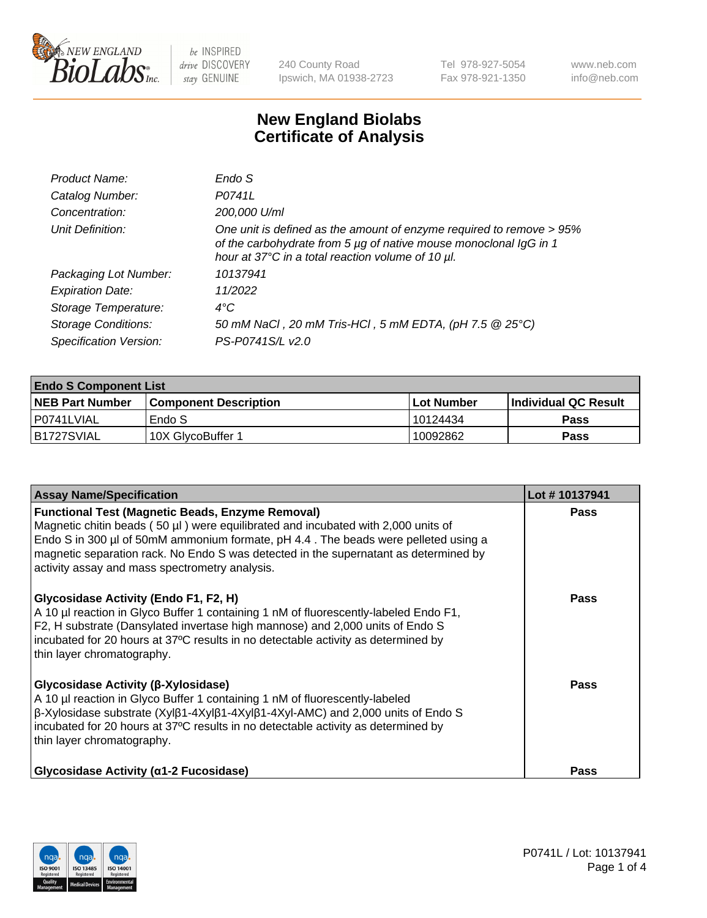

240 County Road Ipswich, MA 01938-2723 Tel 978-927-5054 Fax 978-921-1350 www.neb.com info@neb.com

## **New England Biolabs Certificate of Analysis**

| Endo S                                                                                                                                                                                         |
|------------------------------------------------------------------------------------------------------------------------------------------------------------------------------------------------|
| P0741L                                                                                                                                                                                         |
| 200,000 U/ml                                                                                                                                                                                   |
| One unit is defined as the amount of enzyme required to remove > 95%<br>of the carbohydrate from 5 µg of native mouse monoclonal IgG in 1<br>hour at 37°C in a total reaction volume of 10 µl. |
| 10137941                                                                                                                                                                                       |
| 11/2022                                                                                                                                                                                        |
| $4^{\circ}$ C                                                                                                                                                                                  |
| 50 mM NaCl, 20 mM Tris-HCl, 5 mM EDTA, (pH 7.5 @ 25°C)                                                                                                                                         |
| PS-P0741S/L v2.0                                                                                                                                                                               |
|                                                                                                                                                                                                |

| <b>Endo S Component List</b> |                         |              |                             |  |  |
|------------------------------|-------------------------|--------------|-----------------------------|--|--|
| <b>NEB Part Number</b>       | l Component Description | l Lot Number | <b>Individual QC Result</b> |  |  |
| l P0741LVIAL                 | Endo S                  | 10124434     | <b>Pass</b>                 |  |  |
| IB1727SVIAL                  | 10X GlycoBuffer 1       | 10092862     | Pass                        |  |  |

| <b>Assay Name/Specification</b>                                                                                                                                                                                                                                                                                                                                              | Lot #10137941 |
|------------------------------------------------------------------------------------------------------------------------------------------------------------------------------------------------------------------------------------------------------------------------------------------------------------------------------------------------------------------------------|---------------|
| <b>Functional Test (Magnetic Beads, Enzyme Removal)</b><br>Magnetic chitin beads (50 µl) were equilibrated and incubated with 2,000 units of<br>Endo S in 300 µl of 50mM ammonium formate, pH 4.4. The beads were pelleted using a<br>magnetic separation rack. No Endo S was detected in the supernatant as determined by<br>activity assay and mass spectrometry analysis. | <b>Pass</b>   |
| Glycosidase Activity (Endo F1, F2, H)<br>A 10 µl reaction in Glyco Buffer 1 containing 1 nM of fluorescently-labeled Endo F1,<br>F2, H substrate (Dansylated invertase high mannose) and 2,000 units of Endo S<br>incubated for 20 hours at 37°C results in no detectable activity as determined by<br>thin layer chromatography.                                            | <b>Pass</b>   |
| Glycosidase Activity (β-Xylosidase)<br>A 10 µl reaction in Glyco Buffer 1 containing 1 nM of fluorescently-labeled<br>β-Xylosidase substrate (Xylβ1-4Xylβ1-4Xylβ1-4Xyl-AMC) and 2,000 units of Endo S<br>incubated for 20 hours at 37°C results in no detectable activity as determined by<br>thin layer chromatography.                                                     | <b>Pass</b>   |
| Glycosidase Activity (α1-2 Fucosidase)                                                                                                                                                                                                                                                                                                                                       | Pass          |

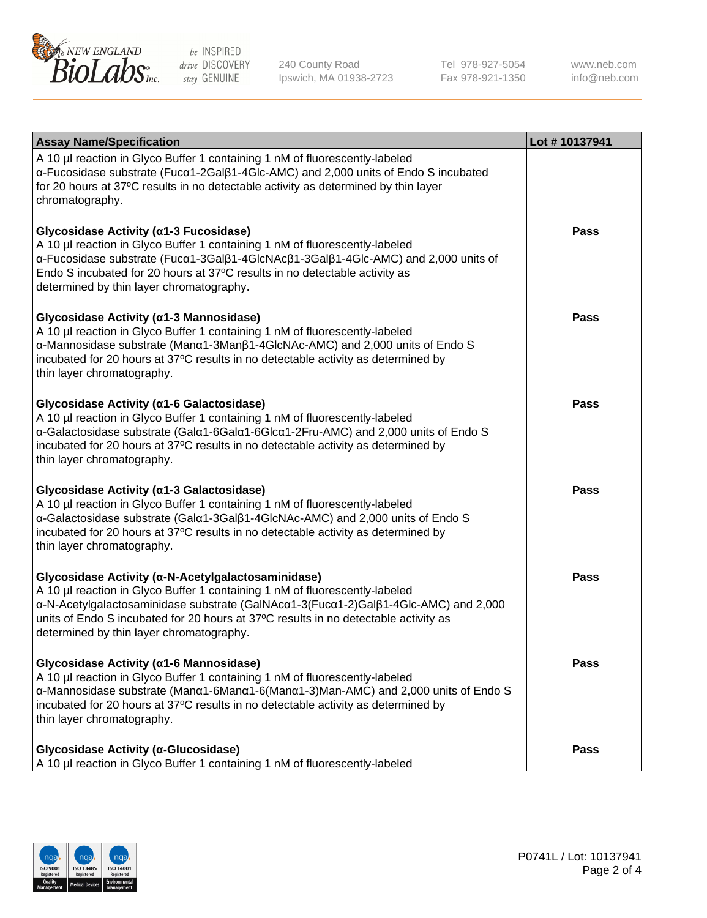

240 County Road Ipswich, MA 01938-2723 Tel 978-927-5054 Fax 978-921-1350 www.neb.com info@neb.com

| <b>Assay Name/Specification</b>                                                                                                                                                                                                                                                                                                                             | Lot #10137941 |
|-------------------------------------------------------------------------------------------------------------------------------------------------------------------------------------------------------------------------------------------------------------------------------------------------------------------------------------------------------------|---------------|
| A 10 µl reaction in Glyco Buffer 1 containing 1 nM of fluorescently-labeled<br>$\alpha$ -Fucosidase substrate (Fuc $\alpha$ 1-2Gal $\beta$ 1-4Glc-AMC) and 2,000 units of Endo S incubated<br>for 20 hours at 37°C results in no detectable activity as determined by thin layer<br>chromatography.                                                         |               |
| Glycosidase Activity (α1-3 Fucosidase)<br>A 10 µl reaction in Glyco Buffer 1 containing 1 nM of fluorescently-labeled<br>α-Fucosidase substrate (Fucα1-3Galβ1-4GlcNAcβ1-3Galβ1-4Glc-AMC) and 2,000 units of<br>Endo S incubated for 20 hours at 37°C results in no detectable activity as<br>determined by thin layer chromatography.                       | <b>Pass</b>   |
| Glycosidase Activity (α1-3 Mannosidase)<br>A 10 µl reaction in Glyco Buffer 1 containing 1 nM of fluorescently-labeled<br>α-Mannosidase substrate (Manα1-3Manβ1-4GlcNAc-AMC) and 2,000 units of Endo S<br>incubated for 20 hours at 37°C results in no detectable activity as determined by<br>thin layer chromatography.                                   | <b>Pass</b>   |
| Glycosidase Activity (a1-6 Galactosidase)<br>A 10 µl reaction in Glyco Buffer 1 containing 1 nM of fluorescently-labeled<br>α-Galactosidase substrate (Galα1-6Galα1-6Glcα1-2Fru-AMC) and 2,000 units of Endo S<br>incubated for 20 hours at 37°C results in no detectable activity as determined by<br>thin layer chromatography.                           | Pass          |
| Glycosidase Activity (α1-3 Galactosidase)<br>A 10 µl reaction in Glyco Buffer 1 containing 1 nM of fluorescently-labeled<br>α-Galactosidase substrate (Galα1-3Galβ1-4GlcNAc-AMC) and 2,000 units of Endo S<br>incubated for 20 hours at 37°C results in no detectable activity as determined by<br>thin layer chromatography.                               | <b>Pass</b>   |
| Glycosidase Activity (α-N-Acetylgalactosaminidase)<br>A 10 µl reaction in Glyco Buffer 1 containing 1 nM of fluorescently-labeled<br>α-N-Acetylgalactosaminidase substrate (GalNAcα1-3(Fucα1-2)Galβ1-4Glc-AMC) and 2,000<br>units of Endo S incubated for 20 hours at 37°C results in no detectable activity as<br>determined by thin layer chromatography. | <b>Pass</b>   |
| Glycosidase Activity (α1-6 Mannosidase)<br>A 10 µl reaction in Glyco Buffer 1 containing 1 nM of fluorescently-labeled<br>α-Mannosidase substrate (Μanα1-6Μanα1-6(Μanα1-3)Man-AMC) and 2,000 units of Endo S<br>incubated for 20 hours at 37°C results in no detectable activity as determined by<br>thin layer chromatography.                             | <b>Pass</b>   |
| Glycosidase Activity (α-Glucosidase)<br>A 10 µl reaction in Glyco Buffer 1 containing 1 nM of fluorescently-labeled                                                                                                                                                                                                                                         | <b>Pass</b>   |

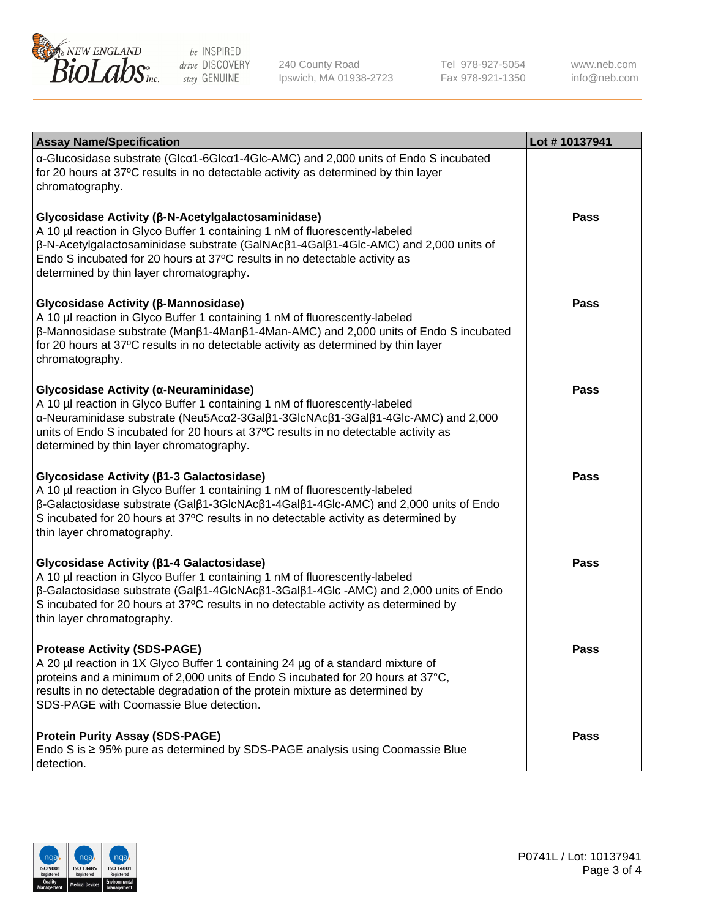

240 County Road Ipswich, MA 01938-2723 Tel 978-927-5054 Fax 978-921-1350

www.neb.com info@neb.com

| <b>Assay Name/Specification</b>                                                                                                                                                                                                                                                                                                                                      | Lot #10137941 |
|----------------------------------------------------------------------------------------------------------------------------------------------------------------------------------------------------------------------------------------------------------------------------------------------------------------------------------------------------------------------|---------------|
| α-Glucosidase substrate (Glcα1-6Glcα1-4Glc-AMC) and 2,000 units of Endo S incubated<br>for 20 hours at 37°C results in no detectable activity as determined by thin layer<br>chromatography.                                                                                                                                                                         |               |
| Glycosidase Activity (β-N-Acetylgalactosaminidase)<br>A 10 µl reaction in Glyco Buffer 1 containing 1 nM of fluorescently-labeled<br>β-N-Acetylgalactosaminidase substrate (GalNAcβ1-4Galβ1-4Glc-AMC) and 2,000 units of<br>Endo S incubated for 20 hours at 37°C results in no detectable activity as<br>determined by thin layer chromatography.                   | <b>Pass</b>   |
| Glycosidase Activity (β-Mannosidase)<br>A 10 µl reaction in Glyco Buffer 1 containing 1 nM of fluorescently-labeled<br>$\beta$ -Mannosidase substrate (Man $\beta$ 1-4Man $\beta$ 1-4Man-AMC) and 2,000 units of Endo S incubated<br>for 20 hours at 37°C results in no detectable activity as determined by thin layer<br>chromatography.                           | <b>Pass</b>   |
| Glycosidase Activity (α-Neuraminidase)<br>A 10 µl reaction in Glyco Buffer 1 containing 1 nM of fluorescently-labeled<br>α-Neuraminidase substrate (Neu5Acα2-3Galβ1-3GlcNAcβ1-3Galβ1-4Glc-AMC) and 2,000<br>units of Endo S incubated for 20 hours at 37°C results in no detectable activity as<br>determined by thin layer chromatography.                          | <b>Pass</b>   |
| Glycosidase Activity (β1-3 Galactosidase)<br>A 10 µl reaction in Glyco Buffer 1 containing 1 nM of fluorescently-labeled<br>$\beta$ -Galactosidase substrate (Gal $\beta$ 1-3GlcNAc $\beta$ 1-4Gal $\beta$ 1-4Glc-AMC) and 2,000 units of Endo<br>S incubated for 20 hours at 37°C results in no detectable activity as determined by<br>thin layer chromatography.  | <b>Pass</b>   |
| Glycosidase Activity (β1-4 Galactosidase)<br>A 10 µl reaction in Glyco Buffer 1 containing 1 nM of fluorescently-labeled<br>$\beta$ -Galactosidase substrate (Gal $\beta$ 1-4GlcNAc $\beta$ 1-3Gal $\beta$ 1-4Glc -AMC) and 2,000 units of Endo<br>S incubated for 20 hours at 37°C results in no detectable activity as determined by<br>thin layer chromatography. | <b>Pass</b>   |
| <b>Protease Activity (SDS-PAGE)</b><br>A 20 µl reaction in 1X Glyco Buffer 1 containing 24 µg of a standard mixture of<br>proteins and a minimum of 2,000 units of Endo S incubated for 20 hours at 37°C,<br>results in no detectable degradation of the protein mixture as determined by<br>SDS-PAGE with Coomassie Blue detection.                                 | <b>Pass</b>   |
| <b>Protein Purity Assay (SDS-PAGE)</b><br>Endo S is ≥ 95% pure as determined by SDS-PAGE analysis using Coomassie Blue<br>detection.                                                                                                                                                                                                                                 | <b>Pass</b>   |